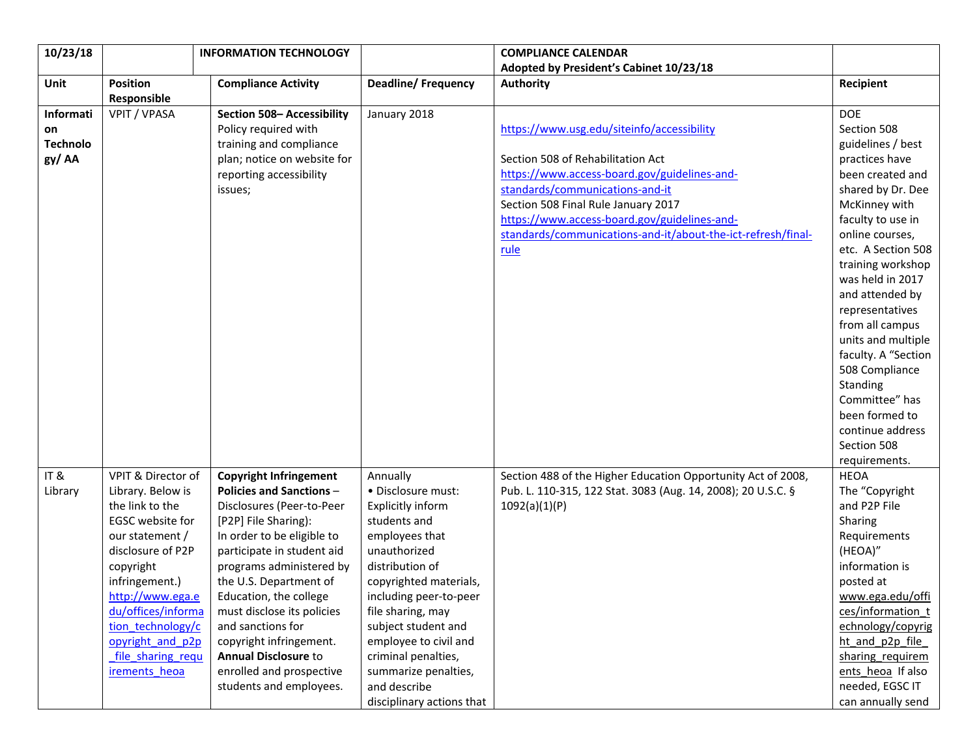| 10/23/18        |                    | <b>INFORMATION TECHNOLOGY</b>   |                           | <b>COMPLIANCE CALENDAR</b>                                   |                     |
|-----------------|--------------------|---------------------------------|---------------------------|--------------------------------------------------------------|---------------------|
|                 |                    |                                 |                           | Adopted by President's Cabinet 10/23/18                      |                     |
| Unit            | <b>Position</b>    | <b>Compliance Activity</b>      | <b>Deadline/Frequency</b> | <b>Authority</b>                                             | Recipient           |
|                 | Responsible        |                                 |                           |                                                              |                     |
| Informati       | VPIT / VPASA       | Section 508- Accessibility      | January 2018              |                                                              | <b>DOE</b>          |
| on              |                    | Policy required with            |                           | https://www.usg.edu/siteinfo/accessibility                   | Section 508         |
| <b>Technolo</b> |                    | training and compliance         |                           |                                                              | guidelines / best   |
| gy/AA           |                    | plan; notice on website for     |                           | Section 508 of Rehabilitation Act                            | practices have      |
|                 |                    | reporting accessibility         |                           | https://www.access-board.gov/guidelines-and-                 | been created and    |
|                 |                    | issues;                         |                           | standards/communications-and-it                              | shared by Dr. Dee   |
|                 |                    |                                 |                           | Section 508 Final Rule January 2017                          | McKinney with       |
|                 |                    |                                 |                           | https://www.access-board.gov/guidelines-and-                 | faculty to use in   |
|                 |                    |                                 |                           | standards/communications-and-it/about-the-ict-refresh/final- | online courses,     |
|                 |                    |                                 |                           | rule                                                         | etc. A Section 508  |
|                 |                    |                                 |                           |                                                              | training workshop   |
|                 |                    |                                 |                           |                                                              | was held in 2017    |
|                 |                    |                                 |                           |                                                              | and attended by     |
|                 |                    |                                 |                           |                                                              | representatives     |
|                 |                    |                                 |                           |                                                              | from all campus     |
|                 |                    |                                 |                           |                                                              | units and multiple  |
|                 |                    |                                 |                           |                                                              | faculty. A "Section |
|                 |                    |                                 |                           |                                                              | 508 Compliance      |
|                 |                    |                                 |                           |                                                              | Standing            |
|                 |                    |                                 |                           |                                                              | Committee" has      |
|                 |                    |                                 |                           |                                                              | been formed to      |
|                 |                    |                                 |                           |                                                              | continue address    |
|                 |                    |                                 |                           |                                                              | Section 508         |
|                 |                    |                                 |                           |                                                              | requirements.       |
| IT&             | VPIT & Director of | <b>Copyright Infringement</b>   | Annually                  | Section 488 of the Higher Education Opportunity Act of 2008, | <b>HEOA</b>         |
| Library         | Library. Below is  | <b>Policies and Sanctions -</b> | • Disclosure must:        | Pub. L. 110-315, 122 Stat. 3083 (Aug. 14, 2008); 20 U.S.C. § | The "Copyright      |
|                 | the link to the    | Disclosures (Peer-to-Peer       | Explicitly inform         | 1092(a)(1)(P)                                                | and P2P File        |
|                 | EGSC website for   | [P2P] File Sharing):            | students and              |                                                              | Sharing             |
|                 | our statement /    | In order to be eligible to      | employees that            |                                                              | Requirements        |
|                 | disclosure of P2P  | participate in student aid      | unauthorized              |                                                              | (HEOA)"             |
|                 | copyright          | programs administered by        | distribution of           |                                                              | information is      |
|                 | infringement.)     | the U.S. Department of          | copyrighted materials,    |                                                              | posted at           |
|                 | http://www.ega.e   | Education, the college          | including peer-to-peer    |                                                              | www.ega.edu/offi    |
|                 | du/offices/informa | must disclose its policies      | file sharing, may         |                                                              | ces/information t   |
|                 | tion technology/c  | and sanctions for               | subject student and       |                                                              | echnology/copyrig   |
|                 | opyright and p2p   | copyright infringement.         | employee to civil and     |                                                              | ht and p2p file     |
|                 | file sharing requ  | <b>Annual Disclosure to</b>     | criminal penalties,       |                                                              | sharing requirem    |
|                 | irements heoa      | enrolled and prospective        | summarize penalties,      |                                                              | ents heoa If also   |
|                 |                    | students and employees.         | and describe              |                                                              | needed, EGSC IT     |
|                 |                    |                                 | disciplinary actions that |                                                              | can annually send   |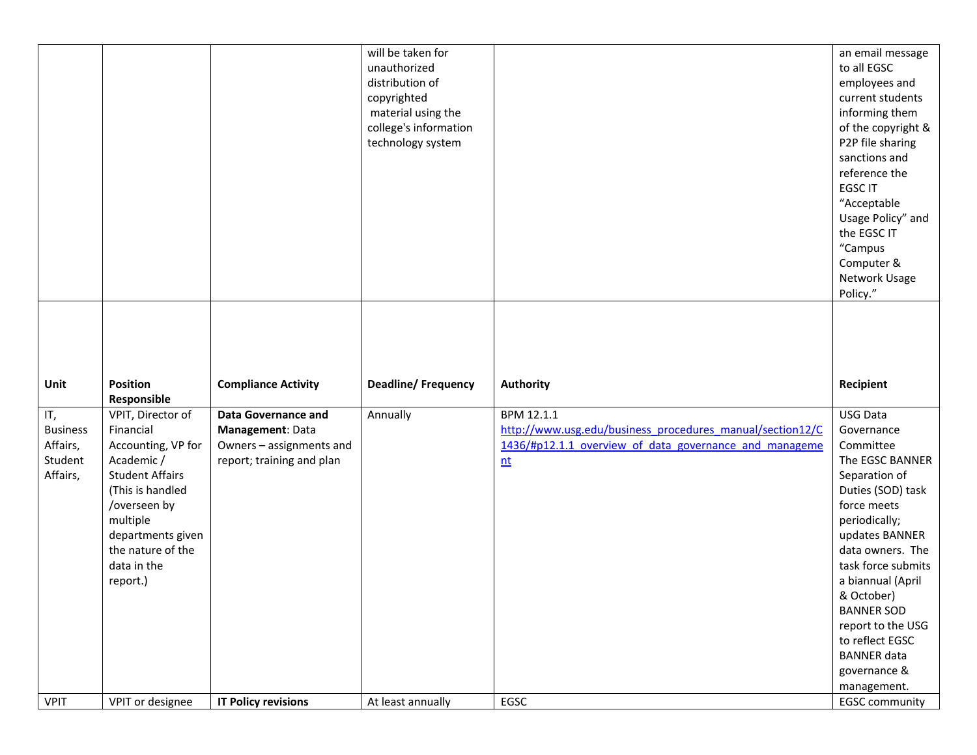| <b>Position</b><br><b>Deadline/Frequency</b><br><b>Authority</b><br>Recipient<br>Unit<br><b>Compliance Activity</b><br>Responsible<br>IT,<br>VPIT, Director of<br>BPM 12.1.1<br><b>USG Data</b><br><b>Data Governance and</b><br>Annually<br>http://www.usg.edu/business procedures manual/section12/C<br><b>Business</b><br>Financial<br>Management: Data<br>Governance<br>1436/#p12.1.1 overview of data governance and manageme<br>Affairs,<br>Accounting, VP for<br>Owners - assignments and<br>Committee<br>Student<br>Academic/<br>report; training and plan<br>nt<br><b>Student Affairs</b><br>Affairs,<br>(This is handled<br>/overseen by<br>force meets<br>multiple<br>periodically;<br>departments given<br>the nature of the<br>data in the<br>report.)<br>& October) |  | will be taken for<br>unauthorized<br>distribution of<br>copyrighted<br>material using the<br>college's information<br>technology system | an email message<br>to all EGSC<br>employees and<br>current students<br>informing them<br>of the copyright &<br>P2P file sharing<br>sanctions and<br>reference the<br><b>EGSC IT</b><br>"Acceptable<br>Usage Policy" and<br>the EGSC IT<br>"Campus<br>Computer &<br>Network Usage<br>Policy." |
|-----------------------------------------------------------------------------------------------------------------------------------------------------------------------------------------------------------------------------------------------------------------------------------------------------------------------------------------------------------------------------------------------------------------------------------------------------------------------------------------------------------------------------------------------------------------------------------------------------------------------------------------------------------------------------------------------------------------------------------------------------------------------------------|--|-----------------------------------------------------------------------------------------------------------------------------------------|-----------------------------------------------------------------------------------------------------------------------------------------------------------------------------------------------------------------------------------------------------------------------------------------------|
|                                                                                                                                                                                                                                                                                                                                                                                                                                                                                                                                                                                                                                                                                                                                                                                   |  |                                                                                                                                         |                                                                                                                                                                                                                                                                                               |
| EGSC<br><b>VPIT</b><br>VPIT or designee<br><b>IT Policy revisions</b><br>At least annually                                                                                                                                                                                                                                                                                                                                                                                                                                                                                                                                                                                                                                                                                        |  |                                                                                                                                         | The EGSC BANNER<br>Separation of<br>Duties (SOD) task<br>updates BANNER<br>data owners. The<br>task force submits<br>a biannual (April<br><b>BANNER SOD</b><br>report to the USG<br>to reflect EGSC<br><b>BANNER</b> data<br>governance &<br>management.<br><b>EGSC community</b>             |